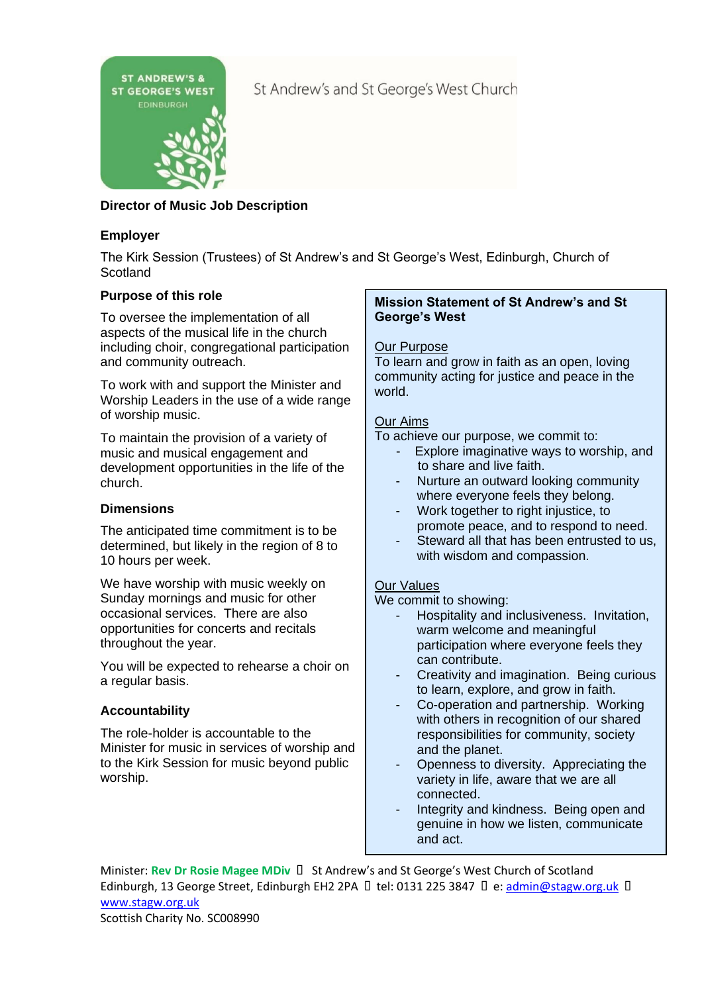

St Andrew's and St George's West Church

# **Director of Music Job Description**

# **Employer**

The Kirk Session (Trustees) of St Andrew's and St George's West, Edinburgh, Church of **Scotland** 

# **Purpose of this role**

To oversee the implementation of all aspects of the musical life in the church including choir, congregational participation and community outreach.

To work with and support the Minister and Worship Leaders in the use of a wide range of worship music.

To maintain the provision of a variety of music and musical engagement and development opportunities in the life of the church.

# **Dimensions**

The anticipated time commitment is to be determined, but likely in the region of 8 to 10 hours per week.

We have worship with music weekly on Sunday mornings and music for other occasional services. There are also opportunities for concerts and recitals throughout the year.

You will be expected to rehearse a choir on a regular basis.

# **Accountability**

The role-holder is accountable to the Minister for music in services of worship and to the Kirk Session for music beyond public worship.

#### **Mission Statement of St Andrew's and St George's West**

## Our Purpose

To learn and grow in faith as an open, loving community acting for justice and peace in the world.

# Our Aims

To achieve our purpose, we commit to:

- Explore imaginative ways to worship, and to share and live faith.
- Nurture an outward looking community where everyone feels they belong.
- Work together to right injustice, to promote peace, and to respond to need.
- Steward all that has been entrusted to us, with wisdom and compassion.

### Our Values

We commit to showing:

- Hospitality and inclusiveness. Invitation, warm welcome and meaningful participation where everyone feels they can contribute.
- Creativity and imagination. Being curious to learn, explore, and grow in faith.
- Co-operation and partnership. Working with others in recognition of our shared responsibilities for community, society and the planet.
- Openness to diversity. Appreciating the variety in life, aware that we are all connected.
- Integrity and kindness. Being open and genuine in how we listen, communicate and act.

Minister: Rev Dr Rosie Magee MDiv  $\Box$  St Andrew's and St George's West Church of Scotland Edinburgh, 13 George Street, Edinburgh EH2 2PA  $\Box$  tel: 0131 225 3847  $\Box$  e: [admin@stagw.org.uk](mailto:admin@stagw.org.uk)  $\Box$ [www.stagw.org.uk](http://www.stagw.org.uk/) 

Scottish Charity No. SC008990